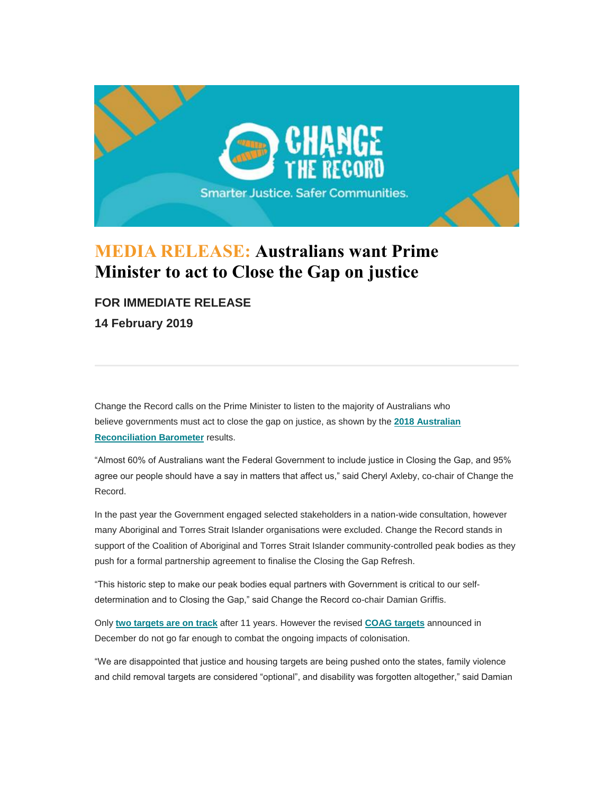

## **MEDIA RELEASE: Australians want Prime Minister to act to Close the Gap on justice**

## **FOR IMMEDIATE RELEASE**

**14 February 2019**

Change the Record calls on the Prime Minister to listen to the majority of Australians who believe governments must act to close the gap on justice, as shown by the **[2018 Australian](https://na01.safelinks.protection.outlook.com/?url=https%3A%2F%2Fchangetherecord.us17.list-manage.com%2Ftrack%2Fclick%3Fu%3Df68db22cea9730f36986312f7%26id%3D515814e451%26e%3D305a72af77&data=02%7C01%7CAU-Apo%40wolterskluwer.com%7C30e1679d2dcc4af3685408d6921392b2%7C8ac76c91e7f141ffa89c3553b2da2c17%7C0%7C0%7C636857010101173532&sdata=LeNX8W7hxAnFdP6bCUp9c4T5c7FKt9qeBK%2Fhqyy8qhQ%3D&reserved=0)  [Reconciliation Barometer](https://na01.safelinks.protection.outlook.com/?url=https%3A%2F%2Fchangetherecord.us17.list-manage.com%2Ftrack%2Fclick%3Fu%3Df68db22cea9730f36986312f7%26id%3D515814e451%26e%3D305a72af77&data=02%7C01%7CAU-Apo%40wolterskluwer.com%7C30e1679d2dcc4af3685408d6921392b2%7C8ac76c91e7f141ffa89c3553b2da2c17%7C0%7C0%7C636857010101173532&sdata=LeNX8W7hxAnFdP6bCUp9c4T5c7FKt9qeBK%2Fhqyy8qhQ%3D&reserved=0)** results.

"Almost 60% of Australians want the Federal Government to include justice in Closing the Gap, and 95% agree our people should have a say in matters that affect us," said Cheryl Axleby, co-chair of Change the Record.

In the past year the Government engaged selected stakeholders in a nation-wide consultation, however many Aboriginal and Torres Strait Islander organisations were excluded. Change the Record stands in support of the Coalition of Aboriginal and Torres Strait Islander community-controlled peak bodies as they push for a formal partnership agreement to finalise the Closing the Gap Refresh.

"This historic step to make our peak bodies equal partners with Government is critical to our selfdetermination and to Closing the Gap," said Change the Record co-chair Damian Griffis.

Only **[two targets are on track](https://na01.safelinks.protection.outlook.com/?url=https%3A%2F%2Fchangetherecord.us17.list-manage.com%2Ftrack%2Fclick%3Fu%3Df68db22cea9730f36986312f7%26id%3Dc9bf35898b%26e%3D305a72af77&data=02%7C01%7CAU-Apo%40wolterskluwer.com%7C30e1679d2dcc4af3685408d6921392b2%7C8ac76c91e7f141ffa89c3553b2da2c17%7C0%7C0%7C636857010101173532&sdata=GOmCzEaQoe9CVBvQXrT82zRvTdjCBVJ0UFL%2FqEhAzCU%3D&reserved=0)** after 11 years. However the revised **[COAG targets](https://na01.safelinks.protection.outlook.com/?url=https%3A%2F%2Fchangetherecord.us17.list-manage.com%2Ftrack%2Fclick%3Fu%3Df68db22cea9730f36986312f7%26id%3Db4d668656d%26e%3D305a72af77&data=02%7C01%7CAU-Apo%40wolterskluwer.com%7C30e1679d2dcc4af3685408d6921392b2%7C8ac76c91e7f141ffa89c3553b2da2c17%7C0%7C0%7C636857010101183537&sdata=68m3uAnS8nGuv%2FW1ucd1Xiq5cjEofwlNVOJRKVTcQJM%3D&reserved=0)** announced in December do not go far enough to combat the ongoing impacts of colonisation.

"We are disappointed that justice and housing targets are being pushed onto the states, family violence and child removal targets are considered "optional", and disability was forgotten altogether," said Damian